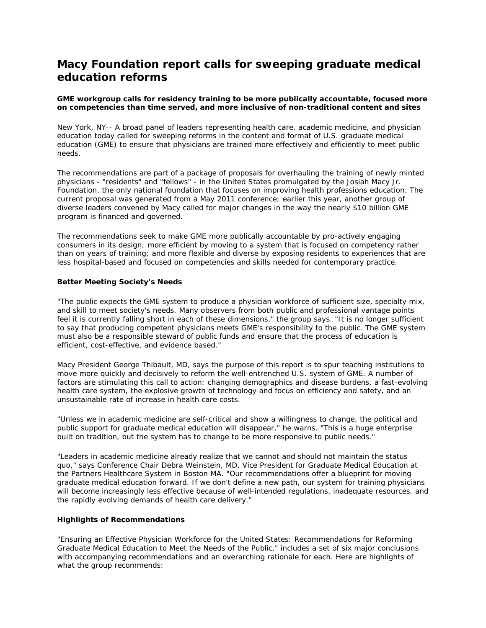## **Macy Foundation report calls for sweeping graduate medical education reforms**

## *GME workgroup calls for residency training to be more publically accountable, focused more on competencies than time served, and more inclusive of non-traditional content and sites*

New York, NY-- A broad panel of leaders representing health care, academic medicine, and physician education today called for sweeping reforms in the content and format of U.S. graduate medical education (GME) to ensure that physicians are trained more effectively and efficiently to meet public needs.

The recommendations are part of a package of proposals for overhauling the training of newly minted physicians - "residents" and "fellows" - in the United States promulgated by the Josiah Macy Jr. Foundation, the only national foundation that focuses on improving health professions education. The current proposal was generated from a May 2011 conference; earlier this year, another group of diverse leaders convened by Macy called for major changes in the way the nearly \$10 billion GME program is financed and governed.

The recommendations seek to make GME more publically accountable by pro-actively engaging consumers in its design; more efficient by moving to a system that is focused on competency rather than on years of training; and more flexible and diverse by exposing residents to experiences that are less hospital-based and focused on competencies and skills needed for contemporary practice.

## **Better Meeting Society's Needs**

"The public expects the GME system to produce a physician workforce of sufficient size, specialty mix, and skill to meet society's needs. Many observers from both public and professional vantage points feel it is currently falling short in each of these dimensions," the group says. "It is no longer sufficient to say that producing competent physicians meets GME's responsibility to the public. The GME system must also be a responsible steward of public funds and ensure that the process of education is efficient, cost-effective, and evidence based."

Macy President George Thibault, MD, says the purpose of this report is to spur teaching institutions to move more quickly and decisively to reform the well-entrenched U.S. system of GME. A number of factors are stimulating this call to action: changing demographics and disease burdens, a fast-evolving health care system, the explosive growth of technology and focus on efficiency and safety, and an unsustainable rate of increase in health care costs.

"Unless we in academic medicine are self-critical and show a willingness to change, the political and public support for graduate medical education will disappear," he warns. "This is a huge enterprise built on tradition, but the system has to change to be more responsive to public needs."

"Leaders in academic medicine already realize that we cannot and should not maintain the status quo," says Conference Chair Debra Weinstein, MD, Vice President for Graduate Medical Education at the Partners Healthcare System in Boston MA. "Our recommendations offer a blueprint for moving graduate medical education forward. If we don't define a new path, our system for training physicians will become increasingly less effective because of well-intended regulations, inadequate resources, and the rapidly evolving demands of health care delivery."

## **Highlights of Recommendations**

"Ensuring an Effective Physician Workforce for the United States: Recommendations for Reforming Graduate Medical Education to Meet the Needs of the Public," includes a set of six major conclusions with accompanying recommendations and an overarching rationale for each. Here are highlights of what the group recommends: